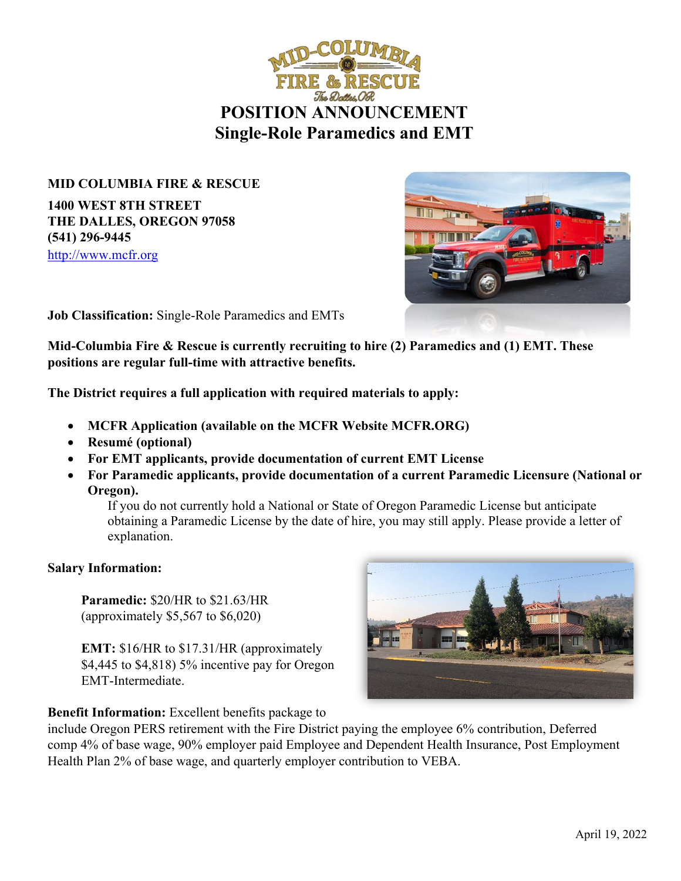

**MID COLUMBIA FIRE & RESCUE 1400 WEST 8TH STREET THE DALLES, OREGON 97058 (541) 296-9445**  http://www.mcfr.org



**Job Classification:** Single-Role Paramedics and EMTs

**Mid-Columbia Fire & Rescue is currently recruiting to hire (2) Paramedics and (1) EMT. These positions are regular full-time with attractive benefits.** 

**The District requires a full application with required materials to apply:** 

- **MCFR Application (available on the MCFR Website MCFR.ORG)**
- **Resumé (optional)**
- **For EMT applicants, provide documentation of current EMT License**
- **For Paramedic applicants, provide documentation of a current Paramedic Licensure (National or Oregon).**

If you do not currently hold a National or State of Oregon Paramedic License but anticipate obtaining a Paramedic License by the date of hire, you may still apply. Please provide a letter of explanation.

### **Salary Information:**

**Paramedic:** \$20/HR to \$21.63/HR (approximately \$5,567 to \$6,020)

**EMT:** \$16/HR to \$17.31/HR (approximately \$4,445 to \$4,818) 5% incentive pay for Oregon EMT-Intermediate.

# **Benefit Information:** Excellent benefits package to



include Oregon PERS retirement with the Fire District paying the employee 6% contribution, Deferred comp 4% of base wage, 90% employer paid Employee and Dependent Health Insurance, Post Employment Health Plan 2% of base wage, and quarterly employer contribution to VEBA.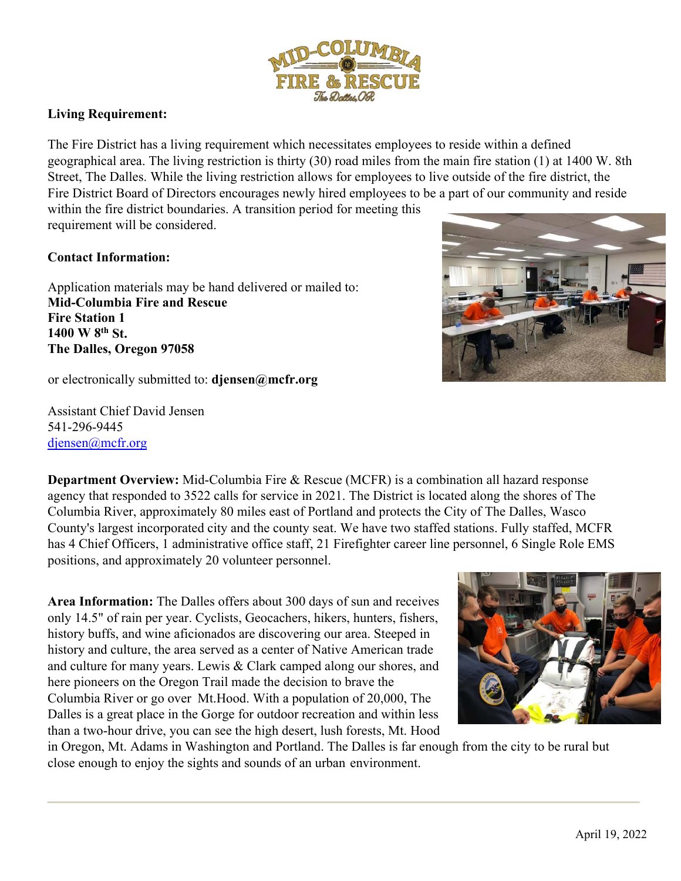

## **Living Requirement:**

The Fire District has a living requirement which necessitates employees to reside within a defined geographical area. The living restriction is thirty (30) road miles from the main fire station (1) at 1400 W. 8th Street, The Dalles. While the living restriction allows for employees to live outside of the fire district, the Fire District Board of Directors encourages newly hired employees to be a part of our community and reside within the fire district boundaries. A transition period for meeting this requirement will be considered.

### **Contact Information:**

Application materials may be hand delivered or mailed to: **Mid-Columbia Fire and Rescue Fire Station 1 1400 W 8th St. The Dalles, Oregon 97058** 

or electronically submitted to: **djensen@mcfr.org**

Assistant Chief David Jensen 541-296-9445 djensen@mcfr.org

**Department Overview:** Mid-Columbia Fire & Rescue (MCFR) is a combination all hazard response agency that responded to 3522 calls for service in 2021. The District is located along the shores of The Columbia River, approximately 80 miles east of Portland and protects the City of The Dalles, Wasco County's largest incorporated city and the county seat. We have two staffed stations. Fully staffed, MCFR has 4 Chief Officers, 1 administrative office staff, 21 Firefighter career line personnel, 6 Single Role EMS positions, and approximately 20 volunteer personnel.

**Area Information:** The Dalles offers about 300 days of sun and receives only 14.5" of rain per year. Cyclists, Geocachers, hikers, hunters, fishers, history buffs, and wine aficionados are discovering our area. Steeped in history and culture, the area served as a center of Native American trade and culture for many years. Lewis & Clark camped along our shores, and here pioneers on the Oregon Trail made the decision to brave the Columbia River or go over Mt.Hood. With a population of 20,000, The Dalles is a great place in the Gorge for outdoor recreation and within less than a two-hour drive, you can see the high desert, lush forests, Mt. Hood

in Oregon, Mt. Adams in Washington and Portland. The Dalles is far enough from the city to be rural but close enough to enjoy the sights and sounds of an urban environment.